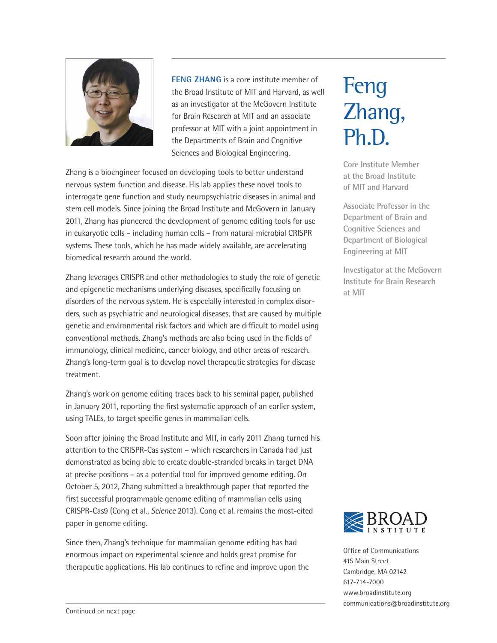

**FENG ZHANG** is a core institute member of the Broad Institute of MIT and Harvard, as well as an investigator at the McGovern Institute for Brain Research at MIT and an associate professor at MIT with a joint appointment in the Departments of Brain and Cognitive Sciences and Biological Engineering.

Zhang is a bioengineer focused on developing tools to better understand nervous system function and disease. His lab applies these novel tools to interrogate gene function and study neuropsychiatric diseases in animal and stem cell models. Since joining the Broad Institute and McGovern in January 2011, Zhang has pioneered the development of genome editing tools for use in eukaryotic cells – including human cells – from natural microbial CRISPR systems. These tools, which he has made widely available, are accelerating biomedical research around the world.

Zhang leverages CRISPR and other methodologies to study the role of genetic and epigenetic mechanisms underlying diseases, specifically focusing on disorders of the nervous system. He is especially interested in complex disorders, such as psychiatric and neurological diseases, that are caused by multiple genetic and environmental risk factors and which are difficult to model using conventional methods. Zhang's methods are also being used in the fields of immunology, clinical medicine, cancer biology, and other areas of research. Zhang's long-term goal is to develop novel therapeutic strategies for disease treatment.

Zhang's work on genome editing traces back to his seminal paper, published in January 2011, reporting the first systematic approach of an earlier system, using TALEs, to target specific genes in mammalian cells.

Soon after joining the Broad Institute and MIT, in early 2011 Zhang turned his attention to the CRISPR-Cas system – which researchers in Canada had just demonstrated as being able to create double-stranded breaks in target DNA at precise positions – as a potential tool for improved genome editing. On October 5, 2012, Zhang submitted a breakthrough paper that reported the first successful programmable genome editing of mammalian cells using CRISPR-Cas9 (Cong et al., *Science* 2013). Cong et al. remains the most-cited paper in genome editing.

Since then, Zhang's technique for mammalian genome editing has had enormous impact on experimental science and holds great promise for therapeutic applications. His lab continues to refine and improve upon the

# Feng Zhang, Ph.D.

**Core Institute Member at the Broad Institute of MIT and Harvard**

**Associate Professor in the Department of Brain and Cognitive Sciences and Department of Biological Engineering at MIT**

**Investigator at the McGovern Institute for Brain Research at MIT**



Office of Communications 415 Main Street Cambridge, MA 02142 617-714-7000 www.broadinstitute.org communications@broadinstitute.org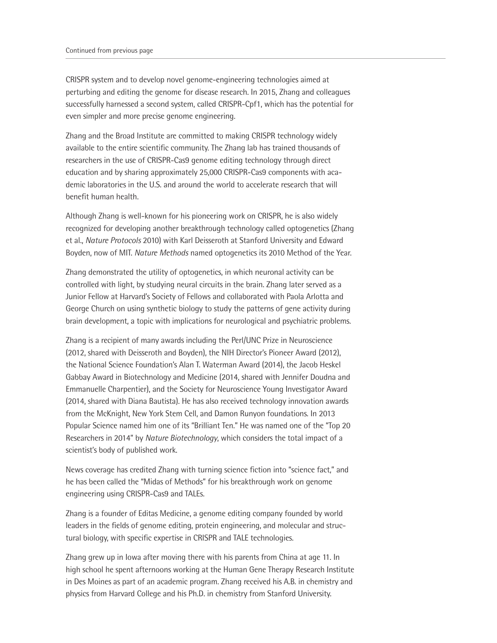CRISPR system and to develop novel genome-engineering technologies aimed at perturbing and editing the genome for disease research. In 2015, Zhang and colleagues successfully harnessed a second system, called CRISPR-Cpf1, which has the potential for even simpler and more precise genome engineering.

Zhang and the Broad Institute are committed to making CRISPR technology widely available to the entire scientific community. The Zhang lab has trained thousands of researchers in the use of CRISPR-Cas9 genome editing technology through direct education and by sharing approximately 25,000 CRISPR-Cas9 components with academic laboratories in the U.S. and around the world to accelerate research that will benefit human health.

Although Zhang is well-known for his pioneering work on CRISPR, he is also widely recognized for developing another breakthrough technology called optogenetics (Zhang et al., *Nature Protocols* 2010) with Karl Deisseroth at Stanford University and Edward Boyden, now of MIT. *Nature Methods* named optogenetics its 2010 Method of the Year.

Zhang demonstrated the utility of optogenetics, in which neuronal activity can be controlled with light, by studying neural circuits in the brain. Zhang later served as a Junior Fellow at Harvard's Society of Fellows and collaborated with Paola Arlotta and George Church on using synthetic biology to study the patterns of gene activity during brain development, a topic with implications for neurological and psychiatric problems.

Zhang is a recipient of many awards including the Perl/UNC Prize in Neuroscience (2012, shared with Deisseroth and Boyden), the NIH Director's Pioneer Award (2012), the National Science Foundation's Alan T. Waterman Award (2014), the Jacob Heskel Gabbay Award in Biotechnology and Medicine (2014, shared with Jennifer Doudna and Emmanuelle Charpentier), and the Society for Neuroscience Young Investigator Award (2014, shared with Diana Bautista). He has also received technology innovation awards from the McKnight, New York Stem Cell, and Damon Runyon foundations. In 2013 Popular Science named him one of its "Brilliant Ten." He was named one of the "Top 20 Researchers in 2014" by *Nature Biotechnology*, which considers the total impact of a scientist's body of published work.

News coverage has credited Zhang with turning science fiction into "science fact," and he has been called the "Midas of Methods" for his breakthrough work on genome engineering using CRISPR-Cas9 and TALEs.

Zhang is a founder of Editas Medicine, a genome editing company founded by world leaders in the fields of genome editing, protein engineering, and molecular and structural biology, with specific expertise in CRISPR and TALE technologies.

Zhang grew up in Iowa after moving there with his parents from China at age 11. In high school he spent afternoons working at the Human Gene Therapy Research Institute in Des Moines as part of an academic program. Zhang received his A.B. in chemistry and physics from Harvard College and his Ph.D. in chemistry from Stanford University.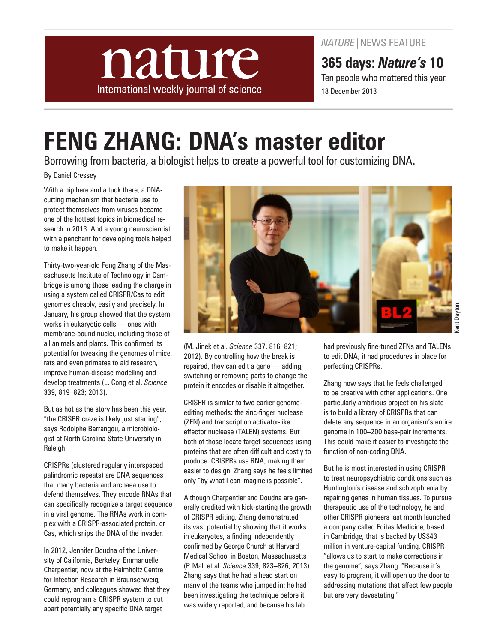

*NATURE*|NEWS FEATURE

**365 days:** *Nature's* **10**  Ten people who mattered this year. 18 December 2013

# **FENG ZHANG: DNA's master editor**

Borrowing from bacteria, a biologist helps to create a powerful tool for customizing DNA.

By Daniel Cressey

With a nip here and a tuck there, a DNAcutting mechanism that bacteria use to protect themselves from viruses became one of the hottest topics in biomedical research in 2013. And a young neuroscientist with a penchant for developing tools helped to make it happen.

Thirty-two-year-old Feng Zhang of the Massachusetts Institute of Technology in Cambridge is among those leading the charge in using a system called CRISPR/Cas to edit genomes cheaply, easily and precisely. In January, his group showed that the system works in eukaryotic cells — ones with membrane-bound nuclei, including those of all animals and plants. This confirmed its potential for tweaking the genomes of mice, rats and even primates to aid research, improve human-disease modelling and develop treatments (L. Cong et al. *Science* 339, 819–823; 2013).

But as hot as the story has been this year, "the CRISPR craze is likely just starting", says Rodolphe Barrangou, a microbiologist at North Carolina State University in Raleigh.

CRISPRs (clustered regularly interspaced palindromic repeats) are DNA sequences that many bacteria and archaea use to defend themselves. They encode RNAs that can specifically recognize a target sequence in a viral genome. The RNAs work in complex with a CRISPR-associated protein, or Cas, which snips the DNA of the invader.

In 2012, Jennifer Doudna of the University of California, Berkeley, Emmanuelle Charpentier, now at the Helmholtz Centre for Infection Research in Braunschweig, Germany, and colleagues showed that they could reprogram a CRISPR system to cut apart potentially any specific DNA target



(M. Jinek et al. *Science* 337, 816–821; 2012). By controlling how the break is repaired, they can edit a gene — adding, switching or removing parts to change the protein it encodes or disable it altogether.

CRISPR is similar to two earlier genomeediting methods: the zinc-finger nuclease (ZFN) and transcription activator-like effector nuclease (TALEN) systems. But both of those locate target sequences using proteins that are often difficult and costly to produce. CRISPRs use RNA, making them easier to design. Zhang says he feels limited only "by what I can imagine is possible".

Although Charpentier and Doudna are generally credited with kick-starting the growth of CRISPR editing, Zhang demonstrated its vast potential by showing that it works in eukaryotes, a finding independently confirmed by George Church at Harvard Medical School in Boston, Massachusetts (P. Mali et al. *Science* 339, 823–826; 2013). Zhang says that he had a head start on many of the teams who jumped in: he had been investigating the technique before it was widely reported, and because his lab

had previously fine-tuned ZFNs and TALENs to edit DNA, it had procedures in place for perfecting CRISPRs.

Zhang now says that he feels challenged to be creative with other applications. One particularly ambitious project on his slate is to build a library of CRISPRs that can delete any sequence in an organism's entire genome in 100–200 base-pair increments. This could make it easier to investigate the function of non-coding DNA.

But he is most interested in using CRISPR to treat neuropsychiatric conditions such as Huntington's disease and schizophrenia by repairing genes in human tissues. To pursue therapeutic use of the technology, he and other CRISPR pioneers last month launched a company called Editas Medicine, based in Cambridge, that is backed by US\$43 million in venture-capital funding. CRISPR "allows us to start to make corrections in the genome", says Zhang. "Because it's easy to program, it will open up the door to addressing mutations that affect few people but are very devastating."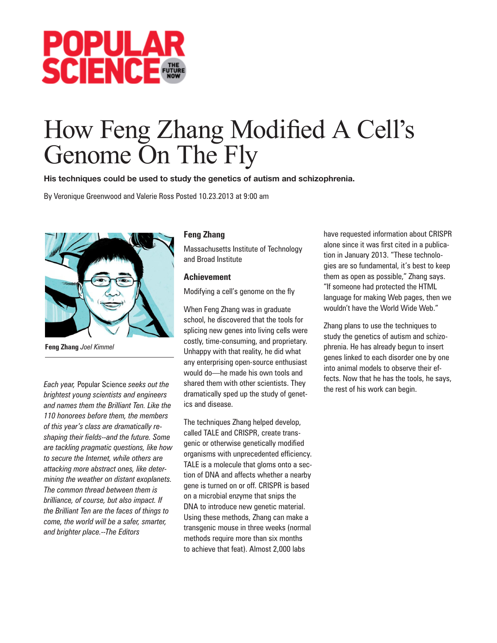

# How Feng Zhang Modified A Cell's Genome On The Fly

His techniques could be used to study the genetics of autism and schizophrenia.

By Veronique Greenwood and Valerie Ross Posted 10.23.2013 at 9:00 am



**Feng Zhang** *Joel Kimmel*

*Each year,* Popular Science *seeks out the brightest young scientists and engineers and names them the Brilliant Ten. Like the 110 honorees before them, the members of this year's class are dramatically reshaping their fields--and the future. Some are tackling pragmatic questions, like how to secure the Internet, while others are attacking more abstract ones, like determining the weather on distant exoplanets. The common thread between them is brilliance, of course, but also impact. If the Brilliant Ten are the faces of things to come, the world will be a safer, smarter, and brighter place.--The Editors*

### **Feng Zhang**

Massachusetts Institute of Technology and Broad Institute

### **Achievement**

Modifying a cell's genome on the fly

When Feng Zhang was in graduate school, he discovered that the tools for splicing new genes into living cells were costly, time-consuming, and proprietary. Unhappy with that reality, he did what any enterprising open-source enthusiast would do—he made his own tools and shared them with other scientists. They dramatically sped up the study of genetics and disease.

The techniques Zhang helped develop, called TALE and CRISPR, create transgenic or otherwise genetically modified organisms with unprecedented efficiency. TALE is a molecule that gloms onto a section of DNA and affects whether a nearby gene is turned on or off. CRISPR is based on a microbial enzyme that snips the DNA to introduce new genetic material. Using these methods, Zhang can make a transgenic mouse in three weeks (normal methods require more than six months to achieve that feat). Almost 2,000 labs

have requested information about CRISPR alone since it was first cited in a publication in January 2013. "These technologies are so fundamental, it's best to keep them as open as possible," Zhang says. "If someone had protected the HTML language for making Web pages, then we wouldn't have the World Wide Web."

Zhang plans to use the techniques to study the genetics of autism and schizophrenia. He has already begun to insert genes linked to each disorder one by one into animal models to observe their effects. Now that he has the tools, he says, the rest of his work can begin.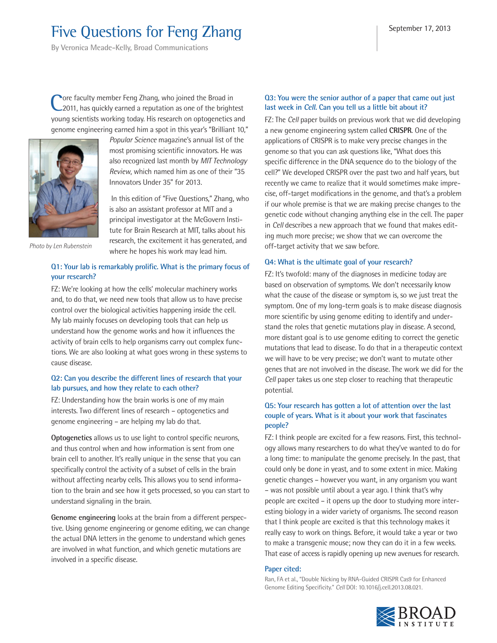## Five Questions for Feng Zhang

**By Veronica Meade-Kelly, Broad Communications**

**Pore faculty member Feng Zhang, who joined the Broad in** 2011, has quickly earned a reputation as one of the brightest young scientists working today. His research on optogenetics and genome engineering earned him a spot in this year's "Brilliant 10,"



*Popular Science* magazine's annual list of the most promising scientific innovators. He was also recognized last month by *MIT Technology Review*, which named him as one of their "35 Innovators Under 35" for 2013.

 In this edition of "Five Questions," Zhang, who is also an assistant professor at MIT and a principal investigator at the McGovern Institute for Brain Research at MIT, talks about his research, the excitement it has generated, and where he hopes his work may lead him.

*Photo by Len Rubenstein*

#### **Q1: Your lab is remarkably prolific. What is the primary focus of your research?**

FZ: We're looking at how the cells' molecular machinery works and, to do that, we need new tools that allow us to have precise control over the biological activities happening inside the cell. My lab mainly focuses on developing tools that can help us understand how the genome works and how it influences the activity of brain cells to help organisms carry out complex functions. We are also looking at what goes wrong in these systems to cause disease.

#### **Q2: Can you describe the different lines of research that your lab pursues, and how they relate to each other?**

FZ: Understanding how the brain works is one of my main interests. Two different lines of research – optogenetics and genome engineering – are helping my lab do that.

**Optogenetics** allows us to use light to control specific neurons, and thus control when and how information is sent from one brain cell to another. It's really unique in the sense that you can specifically control the activity of a subset of cells in the brain without affecting nearby cells. This allows you to send information to the brain and see how it gets processed, so you can start to understand signaling in the brain.

**Genome engineering** looks at the brain from a different perspective. Using genome engineering or genome editing, we can change the actual DNA letters in the genome to understand which genes are involved in what function, and which genetic mutations are involved in a specific disease.

#### **Q3: You were the senior author of a paper that came out just last week in Cell. Can you tell us a little bit about it?**

FZ: The *Cell* paper builds on previous work that we did developing a new genome engineering system called **CRISPR**. One of the applications of CRISPR is to make very precise changes in the genome so that you can ask questions like, "What does this specific difference in the DNA sequence do to the biology of the cell?" We developed CRISPR over the past two and half years, but recently we came to realize that it would sometimes make imprecise, off-target modifications in the genome, and that's a problem if our whole premise is that we are making precise changes to the genetic code without changing anything else in the cell. The paper in *Cell* describes a new approach that we found that makes editing much more precise; we show that we can overcome the off-target activity that we saw before.

#### **Q4: What is the ultimate goal of your research?**

FZ: It's twofold: many of the diagnoses in medicine today are based on observation of symptoms. We don't necessarily know what the cause of the disease or symptom is, so we just treat the symptom. One of my long-term goals is to make disease diagnosis more scientific by using genome editing to identify and understand the roles that genetic mutations play in disease. A second, more distant goal is to use genome editing to correct the genetic mutations that lead to disease. To do that in a therapeutic context we will have to be very precise; we don't want to mutate other genes that are not involved in the disease. The work we did for the *Cell* paper takes us one step closer to reaching that therapeutic potential.

#### **Q5: Your research has gotten a lot of attention over the last couple of years. What is it about your work that fascinates people?**

FZ: I think people are excited for a few reasons. First, this technology allows many researchers to do what they've wanted to do for a long time: to manipulate the genome precisely. In the past, that could only be done in yeast, and to some extent in mice. Making genetic changes – however you want, in any organism you want – was not possible until about a year ago. I think that's why people are excited – it opens up the door to studying more interesting biology in a wider variety of organisms. The second reason that I think people are excited is that this technology makes it really easy to work on things. Before, it would take a year or two to make a transgenic mouse; now they can do it in a few weeks. That ease of access is rapidly opening up new avenues for research.

#### **Paper cited:**

Ran, FA et al., "Double Nicking by RNA-Guided CRISPR Cas9 for Enhanced Genome Editing Specificity." *Cell* DOI: 10.1016/j.cell.2013.08.021.

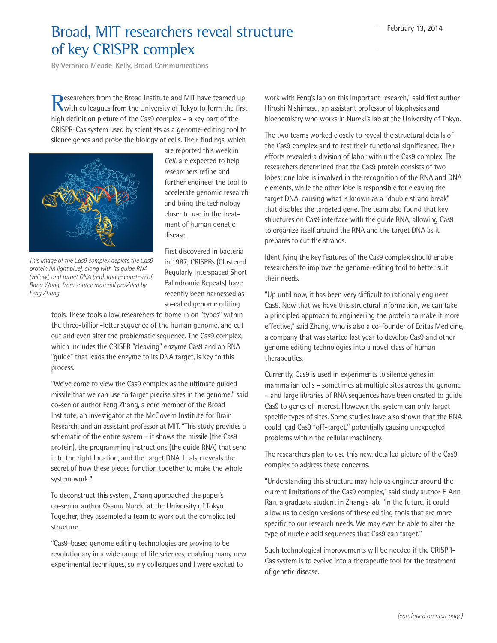## Broad, MIT researchers reveal structure of key CRISPR complex

**By Veronica Meade-Kelly, Broad Communications**

Researchers from the Broad Institute and MIT have teamed up<br>
Whith colleagues from the University of Tokyo to form the first high definition picture of the Cas9 complex – a key part of the CRISPR-Cas system used by scientists as a genome-editing tool to silence genes and probe the biology of cells. Their findings, which



are reported this week in *Cell*, are expected to help researchers refine and further engineer the tool to accelerate genomic research and bring the technology closer to use in the treatment of human genetic disease.

*This image of the Cas9 complex depicts the Cas9 protein (in light blue), along with its guide RNA (yellow), and target DNA (red). Image courtesy of Bang Wong, from source material provided by Feng Zhang*

First discovered in bacteria in 1987, CRISPRs (Clustered Regularly Interspaced Short Palindromic Repeats) have recently been harnessed as so-called genome editing

tools. These tools allow researchers to home in on "typos" within the three-billion-letter sequence of the human genome, and cut out and even alter the problematic sequence. The Cas9 complex, which includes the CRISPR "cleaving" enzyme Cas9 and an RNA "guide" that leads the enzyme to its DNA target, is key to this process.

"We've come to view the Cas9 complex as the ultimate guided missile that we can use to target precise sites in the genome," said co-senior author Feng Zhang, a core member of the Broad Institute, an investigator at the McGovern Institute for Brain Research, and an assistant professor at MIT. "This study provides a schematic of the entire system – it shows the missile (the Cas9 protein), the programming instructions (the guide RNA) that send it to the right location, and the target DNA. It also reveals the secret of how these pieces function together to make the whole system work."

To deconstruct this system, Zhang approached the paper's co-senior author Osamu Nureki at the University of Tokyo. Together, they assembled a team to work out the complicated structure.

"Cas9-based genome editing technologies are proving to be revolutionary in a wide range of life sciences, enabling many new experimental techniques, so my colleagues and I were excited to

work with Feng's lab on this important research," said first author Hiroshi Nishimasu, an assistant professor of biophysics and biochemistry who works in Nureki's lab at the University of Tokyo.

The two teams worked closely to reveal the structural details of the Cas9 complex and to test their functional significance. Their efforts revealed a division of labor within the Cas9 complex. The researchers determined that the Cas9 protein consists of two lobes: one lobe is involved in the recognition of the RNA and DNA elements, while the other lobe is responsible for cleaving the target DNA, causing what is known as a "double strand break" that disables the targeted gene. The team also found that key structures on Cas9 interface with the guide RNA, allowing Cas9 to organize itself around the RNA and the target DNA as it prepares to cut the strands.

Identifying the key features of the Cas9 complex should enable researchers to improve the genome-editing tool to better suit their needs.

"Up until now, it has been very difficult to rationally engineer Cas9. Now that we have this structural information, we can take a principled approach to engineering the protein to make it more effective," said Zhang, who is also a co-founder of Editas Medicine, a company that was started last year to develop Cas9 and other genome editing technologies into a novel class of human therapeutics.

Currently, Cas9 is used in experiments to silence genes in mammalian cells – sometimes at multiple sites across the genome – and large libraries of RNA sequences have been created to guide Cas9 to genes of interest. However, the system can only target specific types of sites. Some studies have also shown that the RNA could lead Cas9 "off-target," potentially causing unexpected problems within the cellular machinery.

The researchers plan to use this new, detailed picture of the Cas9 complex to address these concerns.

"Understanding this structure may help us engineer around the current limitations of the Cas9 complex," said study author F. Ann Ran, a graduate student in Zhang's lab. "In the future, it could allow us to design versions of these editing tools that are more specific to our research needs. We may even be able to alter the type of nucleic acid sequences that Cas9 can target."

Such technological improvements will be needed if the CRISPR-Cas system is to evolve into a therapeutic tool for the treatment of genetic disease.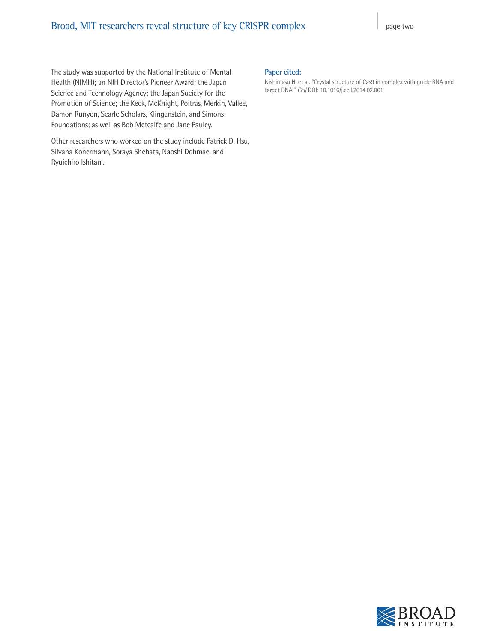### Broad, MIT researchers reveal structure of key CRISPR complex page two

The study was supported by the National Institute of Mental Health (NIMH); an NIH Director's Pioneer Award; the Japan Science and Technology Agency; the Japan Society for the Promotion of Science; the Keck, McKnight, Poitras, Merkin, Vallee, Damon Runyon, Searle Scholars, Klingenstein, and Simons Foundations; as well as Bob Metcalfe and Jane Pauley.

Other researchers who worked on the study include Patrick D. Hsu, Silvana Konermann, Soraya Shehata, Naoshi Dohmae, and Ryuichiro Ishitani.

#### **Paper cited:**

Nishimasu H. et al. "Crystal structure of Cas9 in complex with guide RNA and target DNA." *Cell* DOI: 10.1016/j.cell.2014.02.001

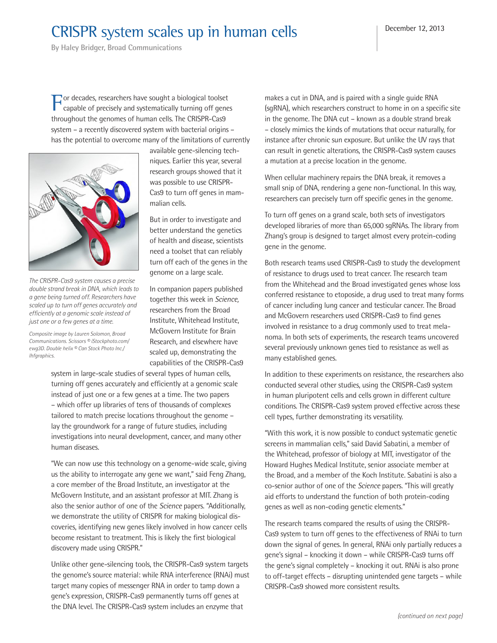## CRISPR system scales up in human cells

**By Haley Bridger, Broad Communications**

For decades, researchers have sought a biological toolset capable of precisely and systematically turning off genes throughout the genomes of human cells. The CRISPR-Cas9 system – a recently discovered system with bacterial origins – has the potential to overcome many of the limitations of currently



*The CRISPR-Cas9 system causes a precise double strand break in DNA, which leads to a gene being turned off. Researchers have scaled up to turn off genes accurately and efficiently at a genomic scale instead of just one or a few genes at a time.*

*Composite image by Lauren Solomon, Broad Communications. Scissors © iStockphoto.com/ ewg3D. Double helix © Can Stock Photo Inc./ lhfgraphics.*

available gene-silencing techniques. Earlier this year, several research groups showed that it was possible to use CRISPR-Cas9 to turn off genes in mammalian cells.

But in order to investigate and better understand the genetics of health and disease, scientists need a toolset that can reliably turn off each of the genes in the genome on a large scale.

In companion papers published together this week in *Science,* researchers from the Broad Institute, Whitehead Institute, McGovern Institute for Brain Research, and elsewhere have scaled up, demonstrating the capabilities of the CRISPR-Cas9

system in large-scale studies of several types of human cells, turning off genes accurately and efficiently at a genomic scale instead of just one or a few genes at a time. The two papers – which offer up libraries of tens of thousands of complexes tailored to match precise locations throughout the genome – lay the groundwork for a range of future studies, including investigations into neural development, cancer, and many other human diseases.

"We can now use this technology on a genome-wide scale, giving us the ability to interrogate any gene we want," said Feng Zhang, a core member of the Broad Institute, an investigator at the McGovern Institute, and an assistant professor at MIT. Zhang is also the senior author of one of the *Science* papers. "Additionally, we demonstrate the utility of CRISPR for making biological discoveries, identifying new genes likely involved in how cancer cells become resistant to treatment. This is likely the first biological discovery made using CRISPR."

Unlike other gene-silencing tools, the CRISPR-Cas9 system targets the genome's source material: while RNA interference (RNAi) must target many copies of messenger RNA in order to tamp down a gene's expression, CRISPR-Cas9 permanently turns off genes at the DNA level. The CRISPR-Cas9 system includes an enzyme that

makes a cut in DNA, and is paired with a single guide RNA (sgRNA), which researchers construct to home in on a specific site in the genome. The DNA cut – known as a double strand break – closely mimics the kinds of mutations that occur naturally, for instance after chronic sun exposure. But unlike the UV rays that can result in genetic alterations, the CRISPR-Cas9 system causes a mutation at a precise location in the genome.

When cellular machinery repairs the DNA break, it removes a small snip of DNA, rendering a gene non-functional. In this way, researchers can precisely turn off specific genes in the genome.

To turn off genes on a grand scale, both sets of investigators developed libraries of more than 65,000 sgRNAs. The library from Zhang's group is designed to target almost every protein-coding gene in the genome.

Both research teams used CRISPR-Cas9 to study the development of resistance to drugs used to treat cancer. The research team from the Whitehead and the Broad investigated genes whose loss conferred resistance to etoposide, a drug used to treat many forms of cancer including lung cancer and testicular cancer. The Broad and McGovern researchers used CRISPR-Cas9 to find genes involved in resistance to a drug commonly used to treat melanoma. In both sets of experiments, the research teams uncovered several previously unknown genes tied to resistance as well as many established genes.

In addition to these experiments on resistance, the researchers also conducted several other studies, using the CRISPR-Cas9 system in human pluripotent cells and cells grown in different culture conditions. The CRISPR-Cas9 system proved effective across these cell types, further demonstrating its versatility.

"With this work, it is now possible to conduct systematic genetic screens in mammalian cells," said David Sabatini, a member of the Whitehead, professor of biology at MIT, investigator of the Howard Hughes Medical Institute, senior associate member at the Broad, and a member of the Koch Institute. Sabatini is also a co-senior author of one of the *Science* papers. "This will greatly aid efforts to understand the function of both protein-coding genes as well as non-coding genetic elements."

The research teams compared the results of using the CRISPR-Cas9 system to turn off genes to the effectiveness of RNAi to turn down the signal of genes. In general, RNAi only partially reduces a gene's signal – knocking it down – while CRISPR-Cas9 turns off the gene's signal completely – knocking it out. RNAi is also prone to off-target effects – disrupting unintended gene targets – while CRISPR-Cas9 showed more consistent results.